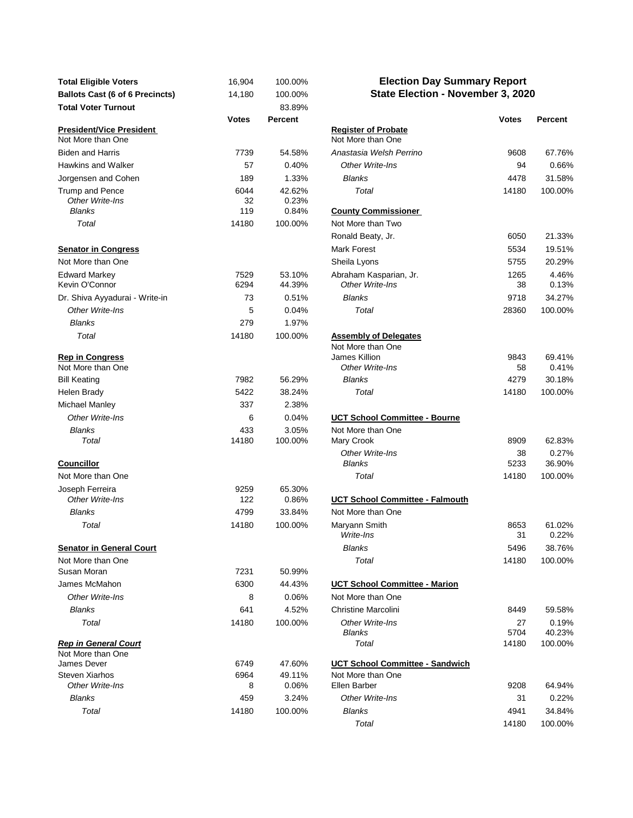| <b>Total Eligible Voters</b>                         | 16,904       | 100.00%          | <b>Election Day Summary Report</b>              |              |                 |
|------------------------------------------------------|--------------|------------------|-------------------------------------------------|--------------|-----------------|
| <b>Ballots Cast (6 of 6 Precincts)</b>               | 14,180       | 100.00%          | State Election - November 3, 2020               |              |                 |
| <b>Total Voter Turnout</b>                           |              | 83.89%           |                                                 |              |                 |
|                                                      | <b>Votes</b> | Percent          |                                                 | <b>Votes</b> | Percent         |
| <b>President/Vice President</b><br>Not More than One |              |                  | <b>Register of Probate</b><br>Not More than One |              |                 |
| <b>Biden and Harris</b>                              | 7739         | 54.58%           | Anastasia Welsh Perrino                         | 9608         | 67.76%          |
| Hawkins and Walker                                   | 57           | 0.40%            | Other Write-Ins                                 | 94           | 0.66%           |
| Jorgensen and Cohen                                  | 189          | 1.33%            | <b>Blanks</b>                                   | 4478         | 31.58%          |
| Trump and Pence<br>Other Write-Ins                   | 6044<br>32   | 42.62%<br>0.23%  | Total                                           | 14180        | 100.00%         |
| <b>Blanks</b>                                        | 119          | 0.84%            | <b>County Commissioner</b>                      |              |                 |
| Total                                                | 14180        | 100.00%          | Not More than Two                               |              |                 |
|                                                      |              |                  | Ronald Beaty, Jr.                               | 6050         | 21.33%          |
| <b>Senator in Congress</b>                           |              |                  | <b>Mark Forest</b>                              | 5534         | 19.51%          |
| Not More than One                                    |              |                  | Sheila Lyons                                    | 5755         | 20.29%          |
| <b>Edward Markey</b><br>Kevin O'Connor               | 7529<br>6294 | 53.10%<br>44.39% | Abraham Kasparian, Jr.<br>Other Write-Ins       | 1265<br>38   | 4.46%<br>0.13%  |
| Dr. Shiva Ayyadurai - Write-in                       | 73           | 0.51%            | <b>Blanks</b>                                   | 9718         | 34.27%          |
| Other Write-Ins                                      | 5            | 0.04%            | Total                                           | 28360        | 100.00%         |
| <b>Blanks</b>                                        | 279          | 1.97%            |                                                 |              |                 |
| Total                                                | 14180        | 100.00%          | <b>Assembly of Delegates</b>                    |              |                 |
|                                                      |              |                  | Not More than One                               |              |                 |
| <b>Rep in Congress</b><br>Not More than One          |              |                  | James Killion<br>Other Write-Ins                | 9843<br>58   | 69.41%<br>0.41% |
| <b>Bill Keating</b>                                  | 7982         | 56.29%           | <b>Blanks</b>                                   | 4279         | 30.18%          |
| Helen Brady                                          | 5422         | 38.24%           | Total                                           | 14180        | 100.00%         |
| Michael Manley                                       | 337          | 2.38%            |                                                 |              |                 |
| Other Write-Ins                                      | 6            | 0.04%            | <b>UCT School Committee - Bourne</b>            |              |                 |
| <b>Blanks</b>                                        | 433          | 3.05%            | Not More than One                               |              |                 |
| Total                                                | 14180        | 100.00%          | Mary Crook                                      | 8909         | 62.83%          |
|                                                      |              |                  | Other Write-Ins                                 | 38           | 0.27%           |
| <b>Councillor</b>                                    |              |                  | <b>Blanks</b>                                   | 5233         | 36.90%          |
| Not More than One                                    |              |                  | Total                                           | 14180        | 100.00%         |
| Joseph Ferreira<br>Other Write-Ins                   | 9259<br>122  | 65.30%<br>0.86%  | <b>UCT School Committee - Falmouth</b>          |              |                 |
| <b>Blanks</b>                                        | 4799         | 33.84%           | Not More than One                               |              |                 |
| Total                                                | 14180        | 100.00%          | Maryann Smith<br>Write-Ins                      | 8653<br>31   | 61.02%<br>0.22% |
| <b>Senator in General Court</b>                      |              |                  | Blanks                                          | 5496         | 38.76%          |
| Not More than One                                    |              |                  | Total                                           | 14180        | 100.00%         |
| Susan Moran                                          | 7231         | 50.99%           |                                                 |              |                 |
| James McMahon                                        | 6300         | 44.43%           | <b>UCT School Committee - Marion</b>            |              |                 |
| Other Write-Ins                                      | 8            | 0.06%            | Not More than One                               |              |                 |
| <b>Blanks</b>                                        | 641          | 4.52%            | <b>Christine Marcolini</b>                      | 8449         | 59.58%          |
| Total                                                | 14180        | 100.00%          | Other Write-Ins<br>Blanks                       | 27<br>5704   | 0.19%<br>40.23% |
| <b>Rep in General Court</b>                          |              |                  | Total                                           | 14180        | 100.00%         |
| Not More than One                                    |              |                  |                                                 |              |                 |
| James Dever                                          | 6749         | 47.60%           | UCT School Committee - Sandwich                 |              |                 |
| <b>Steven Xiarhos</b><br>Other Write-Ins             | 6964<br>8    | 49.11%<br>0.06%  | Not More than One<br>Ellen Barber               | 9208         | 64.94%          |
| Blanks                                               | 459          | 3.24%            | Other Write-Ins                                 | 31           | 0.22%           |
| Total                                                | 14180        |                  |                                                 | 4941         |                 |
|                                                      |              | 100.00%          | Blanks                                          |              | 34.84%          |

## **Election Day Summary Report State Election - November 3, 2020**

| <b>Votes</b> | Percent          |                                                 | <b>Votes</b> | Percent         |
|--------------|------------------|-------------------------------------------------|--------------|-----------------|
|              |                  | <b>Register of Probate</b><br>Not More than One |              |                 |
| 7739         | 54.58%           | Anastasia Welsh Perrino                         | 9608         | 67.76%          |
| 57           | 0.40%            | Other Write-Ins                                 | 94           | 0.66%           |
| 189          | 1.33%            | <b>Blanks</b>                                   | 4478         | 31.58%          |
| 6044<br>32   | 42.62%<br>0.23%  | Total                                           | 14180        | 100.00%         |
| 119          | 0.84%            | <b>County Commissioner</b>                      |              |                 |
| 14180        | 100.00%          | Not More than Two                               |              |                 |
|              |                  | Ronald Beaty, Jr.                               | 6050         | 21.33%          |
|              |                  | Mark Forest                                     | 5534         | 19.51%          |
|              |                  | Sheila Lyons                                    | 5755         | 20.29%          |
| 7529<br>6294 | 53.10%<br>44.39% | Abraham Kasparian, Jr.<br>Other Write-Ins       | 1265<br>38   | 4.46%<br>0.13%  |
| 73           | 0.51%            | <b>Blanks</b>                                   | 9718         | 34.27%          |
| 5            | 0.04%            | Total                                           | 28360        | 100.00%         |
| 279          | 1.97%            |                                                 |              |                 |
| 14180        | 100.00%          | <b>Assembly of Delegates</b>                    |              |                 |
|              |                  | Not More than One                               |              |                 |
|              |                  | James Killion<br>Other Write-Ins                | 9843<br>58   | 69.41%<br>0.41% |
| 7982         | 56.29%           | <b>Blanks</b>                                   | 4279         | 30.18%          |
| 5422         | 38.24%           | Total                                           | 14180        | 100.00%         |
| 337          | 2.38%            |                                                 |              |                 |
| 6            | 0.04%            |                                                 |              |                 |
|              |                  | UCT School Committee - Bourne                   |              |                 |
| 433<br>14180 | 3.05%<br>100.00% | Not More than One<br>Mary Crook                 | 8909         | 62.83%          |
|              |                  | Other Write-Ins                                 | 38           | 0.27%           |
|              |                  | <b>Blanks</b>                                   | 5233         | 36.90%          |
|              |                  | Total                                           | 14180        | 100.00%         |
| 9259<br>122  | 65.30%<br>0.86%  | <b>UCT School Committee - Falmouth</b>          |              |                 |
| 4799         | 33.84%           | Not More than One                               |              |                 |
| 14180        | 100.00%          | Maryann Smith<br>Write-Ins                      | 8653<br>31   | 61.02%<br>0.22% |
|              |                  | <b>Blanks</b>                                   | 5496         | 38.76%          |
|              |                  | Total                                           | 14180        | 100.00%         |
| 7231         | 50.99%           |                                                 |              |                 |
| 6300         | 44.43%           | UCT School Committee - Marion                   |              |                 |
| 8            | 0.06%            | Not More than One                               |              |                 |
| 641          | 4.52%            | <b>Christine Marcolini</b>                      | 8449         | 59.58%          |
| 14180        | 100.00%          | Other Write-Ins                                 | 27           | 0.19%           |
|              |                  | <b>Blanks</b>                                   | 5704         | 40.23%          |
|              |                  | Total                                           | 14180        | 100.00%         |
| 6749         | 47.60%           | <b>UCT School Committee - Sandwich</b>          |              |                 |
| 6964         | 49.11%           | Not More than One                               |              |                 |
| 8            | 0.06%            | Ellen Barber                                    | 9208         | 64.94%          |
| 459          | 3.24%            | Other Write-Ins                                 | 31           | 0.22%           |
| 14180        | 100.00%          | <b>Blanks</b>                                   | 4941         | 34.84%          |
|              |                  | Total                                           | 14180        | 100.00%         |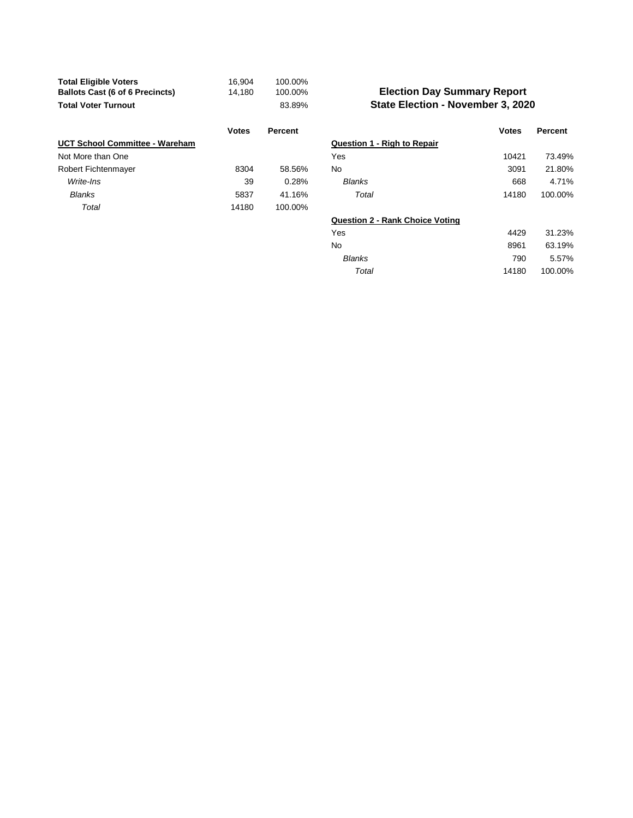| <b>Total Eligible Voters</b>           | 16.904 | 100.00% |
|----------------------------------------|--------|---------|
| <b>Ballots Cast (6 of 6 Precincts)</b> | 14.180 | 100.00% |
| <b>Total Voter Turnout</b>             |        | 83.89%  |

|                                       | <b>Votes</b> | Percent |                                    | <b>Votes</b> | Percent |
|---------------------------------------|--------------|---------|------------------------------------|--------------|---------|
| <b>UCT School Committee - Wareham</b> |              |         | <b>Question 1 - Righ to Repair</b> |              |         |
| Not More than One                     |              |         | Yes                                | 10421        | 73.49%  |
| Robert Fichtenmayer                   | 8304         | 58.56%  | No                                 | 3091         | 21.80%  |
| Write-Ins                             | 39           | 0.28%   | <b>Blanks</b>                      | 668          | 4.71%   |
| <b>Blanks</b>                         | 5837         | 41.16%  | Total                              | 14180        | 100.00% |
| Total                                 | 14180        | 100.00% |                                    |              |         |

## **State Election - November 3, 2020 Election Day Summary Report**

| <b>Votes</b> | <b>Percent</b> |                                        | <b>Votes</b> | Percent |
|--------------|----------------|----------------------------------------|--------------|---------|
|              |                | <b>Question 1 - Righ to Repair</b>     |              |         |
|              |                | Yes                                    | 10421        | 73.49%  |
| 8304         | 58.56%         | No                                     | 3091         | 21.80%  |
| 39           | 0.28%          | <b>Blanks</b>                          | 668          | 4.71%   |
| 5837         | 41.16%         | Total                                  | 14180        | 100.00% |
| 14180        | 100.00%        |                                        |              |         |
|              |                | <b>Question 2 - Rank Choice Voting</b> |              |         |
|              |                | Yes                                    | 4429         | 31.23%  |
|              |                | No                                     | 8961         | 63.19%  |
|              |                | <b>Blanks</b>                          | 790          | 5.57%   |
|              |                | Total                                  | 14180        | 100.00% |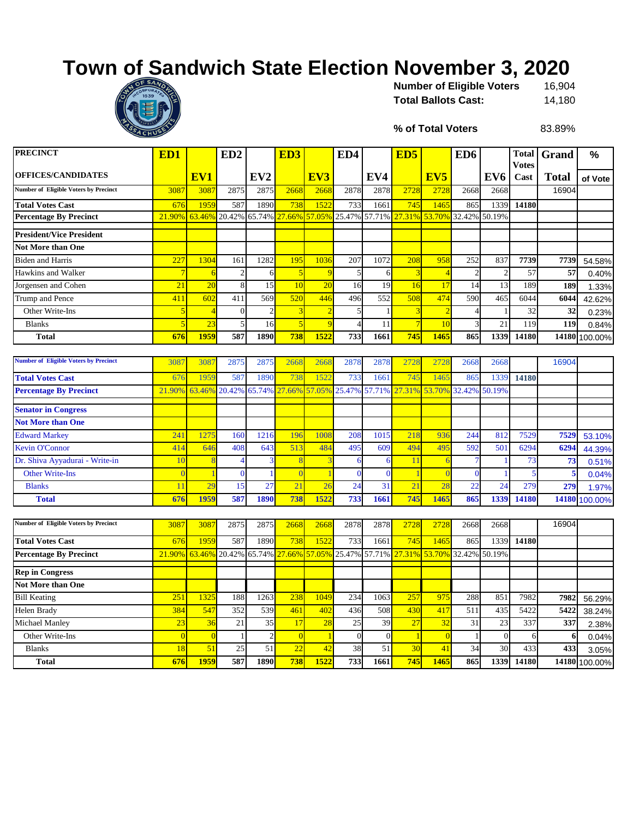## **Town of Sandwich State Election November 3, 2020**



16,904 **Total Ballots Cast:** 14,180 **Number of Eligible Voters** 

**% of Total Voters**

83.89%

| PRECINCT                                     | ED <sub>1</sub> |                          | ED <sub>2</sub> |                 | ED <sub>3</sub> |                | ED4              |                | ED <sub>5</sub> |                 | ED <sub>6</sub> |                  | <b>Votes</b>            | <b>Total Grand</b> | %             |
|----------------------------------------------|-----------------|--------------------------|-----------------|-----------------|-----------------|----------------|------------------|----------------|-----------------|-----------------|-----------------|------------------|-------------------------|--------------------|---------------|
| <b>OFFICES/CANDIDATES</b>                    |                 | EV1                      |                 | EV <sub>2</sub> |                 | EV3            |                  | EV4            |                 | EV <sub>5</sub> |                 | EV <sub>6</sub>  | Cast                    | <b>Total</b>       | of Vote       |
| <b>Number of Eligible Voters by Precinct</b> | 3087            | 3087                     | 2875            | 2875            | 2668            | 2668           | 2878             | 2878           | 2728            | 2728            | 2668            | 2668             |                         | 16904              |               |
| <b>Total Votes Cast</b>                      | 676             | 1959                     | 587             | 1890            | 738             | 1522           | 733              | 1661           | 745             | 1465            | 865             | 1339             | 14180                   |                    |               |
| <b>Percentage By Precinct</b>                | 21.90%          | 63.46%                   | 20.42%          | 65.74%          | 27.66%          | 57.05%         | 25.47%           | 57.71%         | 27.31%          | 53.70%          | 32.42%          | 50.19%           |                         |                    |               |
| <b>President/Vice President</b>              |                 |                          |                 |                 |                 |                |                  |                |                 |                 |                 |                  |                         |                    |               |
| <b>Not More than One</b>                     |                 |                          |                 |                 |                 |                |                  |                |                 |                 |                 |                  |                         |                    |               |
| <b>Biden and Harris</b>                      | 227             | 1304                     | 161             | 1282            | 195             | 1036           | 207              | 1072           | 208             | 958             | 252             | 837              | 7739                    | 7739               | 54.58%        |
| Hawkins and Walker                           | 7               | -6                       | $\overline{2}$  | 6               |                 | 9              | 5                | 6              | 3               |                 |                 | $\overline{c}$   | 57                      | 57                 | 0.40%         |
| Jorgensen and Cohen                          | 21              | 20                       | 8               | 15              | 10              | 20             | 16               | 19             | 16              | 17              | 14              | 13               | 189                     | 189                | 1.33%         |
| Trump and Pence                              | 411             | 602                      | 411             | 569             | 520             | 446            | 496              | 552            | 508             | 474             | 590             | 465              | 6044                    | 6044               | 42.62%        |
| Other Write-Ins                              | $\overline{5}$  | $\overline{4}$           | $\overline{0}$  | $\overline{2}$  |                 | $\overline{2}$ | 5                |                | 3               |                 | $\Delta$        | $\mathbf{1}$     | 32                      | 32                 | 0.23%         |
| <b>Blanks</b>                                | $\overline{5}$  | 2 <sup>3</sup>           | 5               | 16              | ÷,              | 9              | $\overline{4}$   | 11             | $\overline{7}$  | 10              | 3               | 21               | 119                     | 119                | 0.84%         |
| <b>Total</b>                                 | 676             | 1959                     | 587             | 1890            | 738             | 1522           | 733              | 1661           | 745             | 146             | 865             | 1339             | 14180                   | 14180              | 100.00%       |
|                                              |                 |                          |                 |                 |                 |                |                  |                |                 |                 |                 |                  |                         |                    |               |
| <b>Number of Eligible Voters by Precinct</b> | 3087            | 308                      | 2875            | 2875            | 2668            | 2668           | 2878             | 2878           | 2728            | 2728            | 2668            | 2668             |                         | 16904              |               |
| <b>Total Votes Cast</b>                      | 676             | 1959                     | 587             | 1890            | 738             | 1522           | 733              | 1661           | 745             | 1465            | 865             | 1339             | 14180                   |                    |               |
| <b>Percentage By Precinct</b>                | 21.90%          | 63.46%                   | 20.42%          | 65.74%          | 27.66%          | 57.05%         | 25.47%           | 57.71%         | 27.31%          | 53.70%          | 32.42%          | 50.19%           |                         |                    |               |
| <b>Senator in Congress</b>                   |                 |                          |                 |                 |                 |                |                  |                |                 |                 |                 |                  |                         |                    |               |
| <b>Not More than One</b>                     |                 |                          |                 |                 |                 |                |                  |                |                 |                 |                 |                  |                         |                    |               |
| <b>Edward Markey</b>                         | 241             | 1275                     | 160             | 1216            | 196             | 1008           | 208              | 1015           | 218             | 936             | 244             | 812              | 7529                    | 7529               | 53.10%        |
| Kevin O'Connor                               | 414             | 646                      | 408             | 643             | 513             | 484            | 495              | 609            | 494             | 495             | 592             | 501              | 6294                    | 6294               | 44.39%        |
| Dr. Shiva Ayyadurai - Write-in               | <b>10</b>       | $\overline{\mathcal{E}}$ | 4               | 3               | -8              | 3              | 6                | 6              | 11              | -6              |                 | -1               | 73                      | 73                 | 0.51%         |
| <b>Other Write-Ins</b>                       | $\overline{0}$  |                          | $\mathbf{0}$    |                 | $\overline{c}$  |                | $\theta$         | $\Omega$       | $\overline{1}$  | $\sqrt{ }$      | $\Omega$        |                  | $\overline{\mathbf{5}}$ |                    | 0.04%         |
| <b>Blanks</b>                                | 11              | $\overline{29}$          | 15              | 27              | $\overline{21}$ | 26             | 24               | 31             | 21              | 28              | 22              | 24               | 279                     | 279                | 1.97%         |
| <b>Total</b>                                 | 676             | 1959                     | 587             | 1890            | 738             | 1522           | 733              | 1661           | 745             | 1465            | 865             | 1339             | 14180                   | 14180              | 100.00%       |
|                                              |                 |                          |                 |                 |                 |                |                  |                |                 |                 |                 |                  |                         |                    |               |
| <b>Number of Eligible Voters by Precinct</b> | 3087            | 3087                     | 2875            | 2875            | 2668            | 2668           | 2878             | 2878           | 2728            | 2728            | 2668            | 2668             |                         | 16904              |               |
| <b>Total Votes Cast</b>                      | 676             | 1959                     | 587             | 1890            | 738             | 1522           | 733              | 1661           | 745             | 1465            | 865             | 1339             | 14180                   |                    |               |
| <b>Percentage By Precinct</b>                | 21.90%          | 63.46%                   | 20.42%          | 65.74%          | 27.66%          | 57.05%         | 25.47%           | 57.71%         | 27.31%          | 53.70%          | 32.42%          | 50.19%           |                         |                    |               |
| <b>Rep in Congress</b>                       |                 |                          |                 |                 |                 |                |                  |                |                 |                 |                 |                  |                         |                    |               |
| <b>Not More than One</b>                     |                 |                          |                 |                 |                 |                |                  |                |                 |                 |                 |                  |                         |                    |               |
| <b>Bill Keating</b>                          | 251             | 1325                     | 188             | 1263            | 238             | 1049           | 234              | 1063           | 257             | 975             | 288             | 851              | 7982                    | 7982               | 56.29%        |
| Helen Brady                                  | 384             | 547                      | 352             | 539             | 461             | 402            | 436              | 508            | 430             | 417             | 511             | 435              | 5422                    | 5422               | 38.24%        |
| Michael Manley                               | 23              | 36                       | 21              | 35              | 17              | 28             | 25               | 39             | 27              | 32              | 31              | 23               | 337                     | 337                | 2.38%         |
| Other Write-Ins                              | $\overline{0}$  | $\overline{0}$           | $\mathbf{1}$    | $\overline{c}$  | $\overline{0}$  |                | $\boldsymbol{0}$ | $\overline{0}$ | $\mathbf{1}$    | $\overline{0}$  |                 | $\boldsymbol{0}$ | 6                       | 6                  | 0.04%         |
| <b>Blanks</b>                                | <sup>18</sup>   | 51                       | 25              | 51              | $\overline{22}$ | 42             | 38               | 51             | 30              | 41              | 34              | 30               | 433                     | 433                | 3.05%         |
| <b>Total</b>                                 | 676             | 1959                     | 587             | 1890            | 738             | 1522           | 733              | 1661           | 745             | 1465            | 865             | 1339             | 14180                   |                    | 14180 100.00% |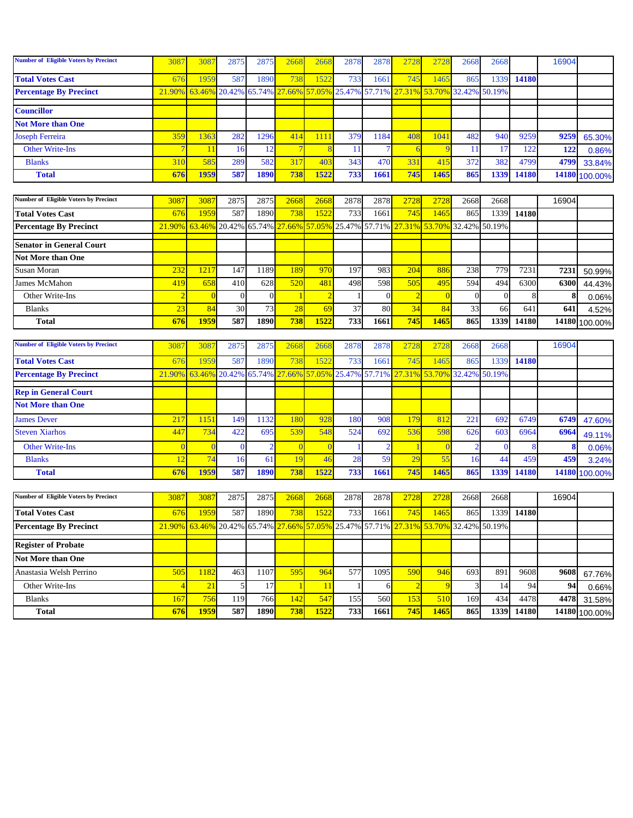| <b>Number of Eligible Voters by Precinct</b> | 3087             | 3087 | 2875            | 2875             | 2668 | 2668            | 2878 | 2878 | 2728                                                                                | 2728 | 2668 | 2668 |       | 16904 |               |
|----------------------------------------------|------------------|------|-----------------|------------------|------|-----------------|------|------|-------------------------------------------------------------------------------------|------|------|------|-------|-------|---------------|
| <b>Total Votes Cast</b>                      | 676              | 1959 | 587             | 1890             | 738  | 1522            | 733  | 1661 | 745                                                                                 | 1465 | 865  | 1339 | 14180 |       |               |
| <b>Percentage By Precinct</b>                |                  |      |                 |                  |      |                 |      |      | 21.90% 63.46% 20.42% 65.74% 27.66% 57.05% 25.47% 57.71% 27.31% 53.70% 32.42% 50.19% |      |      |      |       |       |               |
|                                              |                  |      |                 |                  |      |                 |      |      |                                                                                     |      |      |      |       |       |               |
| <b>Councillor</b>                            |                  |      |                 |                  |      |                 |      |      |                                                                                     |      |      |      |       |       |               |
| <b>Not More than One</b>                     |                  |      |                 |                  |      |                 |      |      |                                                                                     |      |      |      |       |       |               |
| <b>Joseph Ferreira</b>                       | 359              | 1363 | 282             | 1296             | 414  |                 | 379  | 1184 | 408                                                                                 | 1041 | 482  | 940  | 9259  | 9259  | 65.30%        |
| <b>Other Write-Ins</b>                       |                  |      | 16 <sup>1</sup> | 12.              |      |                 |      |      |                                                                                     |      |      |      | 122   | 122   | 0.86%         |
| <b>Blanks</b>                                | 310 <sup> </sup> | 585  | 289             | 582 <sup>1</sup> | 317  | 40 <sup>3</sup> | 343  | 470  | 331                                                                                 | 415  | 372  | 382  | 4799  | 4799  | 33.84%        |
| <b>Total</b>                                 | 676              | 1959 | 587             | 1890             | 738  | 1522            | 733  | 1661 | 745                                                                                 | 1465 | 865  | 1339 | 14180 |       | 14180 100.00% |

| <b>Number of Eligible Voters by Precinct</b> | 3087       | 3087 | 2875 | 2875                | 2668 | 2668 | 2878 | 2878 | <b>2728</b>                                                                         |      | 2668 | 2668 |       | 16904 |               |
|----------------------------------------------|------------|------|------|---------------------|------|------|------|------|-------------------------------------------------------------------------------------|------|------|------|-------|-------|---------------|
| <b>Total Votes Cast</b>                      | 676        | 1959 | 587  | 1890 <mark> </mark> | 738  | 1522 | 733  | 1661 | 745                                                                                 | 1465 | 865  | 1339 | 14180 |       |               |
| <b>Percentage By Precinct</b>                |            |      |      |                     |      |      |      |      | 21.90% 63.46% 20.42% 65.74% 27.66% 57.05% 25.47% 57.71% 27.31% 53.70% 32.42% 50.19% |      |      |      |       |       |               |
|                                              |            |      |      |                     |      |      |      |      |                                                                                     |      |      |      |       |       |               |
| <b>Senator in General Court</b>              |            |      |      |                     |      |      |      |      |                                                                                     |      |      |      |       |       |               |
| Not More than One                            |            |      |      |                     |      |      |      |      |                                                                                     |      |      |      |       |       |               |
| Susan Moran                                  | 232        | 1217 | 147  | 1189 <mark>1</mark> | 189  | 970  | 197  | 983  | 204                                                                                 | 886  | 238  | 779  | 7231  | 723   | 50.99%        |
| James McMahon                                | 419        | 658  | 410  | 628                 | 520  | 481  | 498  | 598  | 505                                                                                 | 495  | 594  | 494  | 6300  | 6300  | 44.43%        |
| Other Write-Ins                              |            |      |      |                     |      |      |      |      |                                                                                     |      |      |      |       |       | 0.06%         |
| <b>Blanks</b>                                |            | 84   | 30   | 73                  | 28   | 69   | 37   | 80   | 34                                                                                  | 84   | 33   | 66   | 64    | 641   | 4.52%         |
| <b>Total</b>                                 | <b>676</b> | 1959 | 587  | 1890l               | 738  | 1522 | 733  | 1661 | 745                                                                                 | 1465 | 865  | 1339 | 14180 |       | 14180 100.00% |

| <b>Number of Eligible Voters by Precinct</b> | 3087 | 3087 | 2875 | 2875        | 2668 | 2668 | 2878 | 2878       | 2728                                                                                | 2728 | 2668 | 2668 |       | 16904 |               |
|----------------------------------------------|------|------|------|-------------|------|------|------|------------|-------------------------------------------------------------------------------------|------|------|------|-------|-------|---------------|
| <b>Total Votes Cast</b>                      | 676  | 1959 | 587  | <b>1890</b> | 738  | 1522 | 733  | 1661       | 745                                                                                 | 465  | 865  | 1339 | 14180 |       |               |
| <b>Percentage By Precinct</b>                |      |      |      |             |      |      |      |            | 21.90% 63.46% 20.42% 65.74% 27.66% 57.05% 25.47% 57.71% 27.31% 53.70% 32.42% 50.19% |      |      |      |       |       |               |
| <b>Rep in General Court</b>                  |      |      |      |             |      |      |      |            |                                                                                     |      |      |      |       |       |               |
| <b>Not More than One</b>                     |      |      |      |             |      |      |      |            |                                                                                     |      |      |      |       |       |               |
| <b>James Dever</b>                           | 217  | 1151 | 149  | 132         | 180  | 928  | 180  | 908        | 179.                                                                                | 812  | 221  | 692  | 6749  | 6749  | 47.60%        |
| <b>Steven Xiarhos</b>                        | 447  | 734  | 422  | 695         | 539  | 548  | 524  | <b>692</b> | 536                                                                                 | 598  | 626  | 603  | 6964  | 6964  | 49.11%        |
| <b>Other Write-Ins</b>                       |      |      |      |             |      |      |      |            |                                                                                     |      |      |      |       |       | 0.06%         |
| <b>Blanks</b>                                |      | 74   | 16.  | -61         |      |      | 28   | 59         |                                                                                     | 55   | 16   |      | 459   | 459   | 3.24%         |
| <b>Total</b>                                 | 676  | 1959 | 587  | 1890        | 738  | 1522 | 733  | 1661       | 745                                                                                 | 1465 | 865  | 1339 | 14180 |       | 14180 100.00% |

| <b>Number of Eligible Voters by Precinct</b> | 3087       | 3087                                                                                | 2875 | 2875I               | <b>2668</b>  | 2668 | 2878 | 2878 | 2728             | 2728 | 2668             | 2668 |       | 16904 |               |
|----------------------------------------------|------------|-------------------------------------------------------------------------------------|------|---------------------|--------------|------|------|------|------------------|------|------------------|------|-------|-------|---------------|
| <b>Total Votes Cast</b>                      | <b>676</b> | 1959                                                                                | 587  | 1890 <mark>l</mark> | 738          | 1522 | 733  | 1661 | 745              | 1465 | 865              | 1339 | 14180 |       |               |
| <b>Percentage By Precinct</b>                |            | 21.90% 63.46% 20.42% 65.74% 27.66% 57.05% 25.47% 57.71% 27.31% 53.70% 32.42% 50.19% |      |                     |              |      |      |      |                  |      |                  |      |       |       |               |
| <b>Register of Probate</b>                   |            |                                                                                     |      |                     |              |      |      |      |                  |      |                  |      |       |       |               |
| <b>Not More than One</b>                     |            |                                                                                     |      |                     |              |      |      |      |                  |      |                  |      |       |       |               |
| Anastasia Welsh Perrino                      | 505        | 1182                                                                                | 463  | 107                 | 595 <b>1</b> | 964  | 577  | 1095 | 590L             | 946  | 693              | 891  | 9608  | 9608  | 67.76%        |
| Other Write-Ins                              |            | 21                                                                                  |      | 17F                 |              |      |      |      |                  |      |                  |      | 94    | 94    | 0.66%         |
| <b>Blanks</b>                                | 167        | 756                                                                                 | 1191 | 766 <b>L</b>        | 142          | 547  | 155  | 560  | 153 <sup>l</sup> | 510  | 169 <sub>1</sub> | 434  | 4478  | 4478  | 31.58%        |
| <b>Total</b>                                 | <b>676</b> | <b>1959</b>                                                                         | 587  | 1890I               | 738          | 1522 | 733  | 1661 | 745              | 1465 | 865              | 1339 | 14180 |       | 14180 100.00% |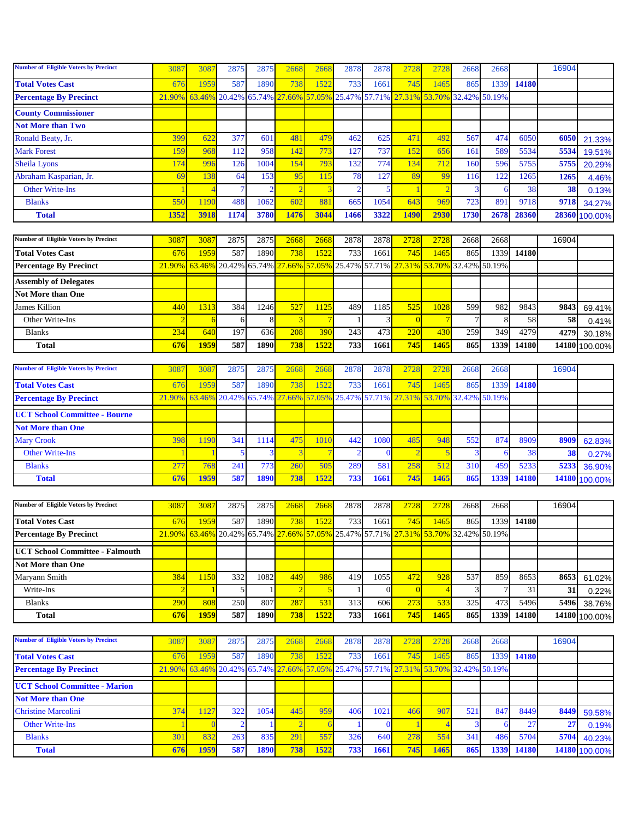| <b>Number of Eligible Voters by Precinct</b> | 3087            | 3087                                                                         | 2875   | 2875   | 2668                    | 2668           | 2878           | 2878           | 2728           | 2728             | 2668   | 2668   |            | 16904 |               |
|----------------------------------------------|-----------------|------------------------------------------------------------------------------|--------|--------|-------------------------|----------------|----------------|----------------|----------------|------------------|--------|--------|------------|-------|---------------|
| <b>Total Votes Cast</b>                      | 676             | 1959                                                                         | 587    | 1890   | 738                     | 1522           | 733            | 1661           | 745            | 146 <sup>4</sup> | 865    | 1339   | 14180      |       |               |
| <b>Percentage By Precinct</b>                | 21.90%          | 63.46%                                                                       | 20.42% | 65.74% | 27.66%                  | 57.05% 25.47%  |                | 57.71%         | 27.31%         | 53.70%           | 32.42% | 50.19% |            |       |               |
| <b>County Commissioner</b>                   |                 |                                                                              |        |        |                         |                |                |                |                |                  |        |        |            |       |               |
| <b>Not More than Two</b>                     |                 |                                                                              |        |        |                         |                |                |                |                |                  |        |        |            |       |               |
| Ronald Beaty, Jr.                            | 399             | 622                                                                          | 377    | 601    | 481                     | 479            | 462            | 625            | 471            | 492              | 567    | 474    | 6050       | 6050  | 21.33%        |
| <b>Mark Forest</b>                           | 159             | 968                                                                          | 112    | 958    | 142                     | 773            | 127            | 737            | 152            | 656              | 161    | 589    | 5534       | 5534  | 19.51%        |
| <b>Sheila Lyons</b>                          | 174             | 996                                                                          | 126    | 1004   | 154                     | 793            | 132            | 774            | 134            | 712              | 160    | 596    | 5755       | 5755  | 20.29%        |
| Abraham Kasparian, Jr.                       | 69              | 138                                                                          | 64     | 153    | 95                      | 115            | 78             | 127            | 89             | 99               | 116    | 122    | 1265       | 1265  | 4.46%         |
| <b>Other Write-Ins</b>                       |                 | Δ                                                                            |        |        | $\overline{2}$          | 3              | $\overline{2}$ | 5              | $\mathbf{1}$   |                  | 3      | 6      | 38         | 38    | 0.13%         |
| <b>Blanks</b>                                | 550             | 1190                                                                         | 488    | 1062   | 602                     | 881            | 665            | 1054           | 643            | 969              | 723    | 891    | 9718       | 9718  | 34.27%        |
| <b>Total</b>                                 | 1352            | 3918                                                                         | 1174   | 3780   | 1476                    | 3044           | 1466           | 3322           | 1490           | 2930             | 1730   | 2678   | 28360      | 28360 | 100.00%       |
|                                              |                 |                                                                              |        |        |                         |                |                |                |                |                  |        |        |            |       |               |
| Number of Eligible Voters by Precinct        | 3087            | 3087                                                                         | 2875   | 2875   | 2668                    | 2668           | 2878           | 2878           | 2728           | 2728             | 2668   | 2668   |            | 16904 |               |
| <b>Total Votes Cast</b>                      | 676             | 1959                                                                         | 587    | 1890   | 738                     | 1522           | 733            | 1661           | 745            | 1465             | 865    | 1339   | 14180      |       |               |
| <b>Percentage By Precinct</b>                | 21.90%          | 63.46%                                                                       | 20.42% | 65.74% | 27.66%                  | 57.05%         | 25.47%         | 57.71%         | 27.31%         | 53.70%           | 32.42% | 50.19% |            |       |               |
| <b>Assembly of Delegates</b>                 |                 |                                                                              |        |        |                         |                |                |                |                |                  |        |        |            |       |               |
| <b>Not More than One</b>                     |                 |                                                                              |        |        |                         |                |                |                |                |                  |        |        |            |       |               |
| <b>James Killion</b>                         | 44 <sub>0</sub> | 1313                                                                         | 384    | 1246   | 527                     | 1125           | 489            | 1185           | 525            | 1028             | 599    | 982    | 9843       | 9843  | 69.41%        |
| Other Write-Ins                              |                 | 6                                                                            | 6      | 8      | $\overline{\mathbf{3}}$ | $\overline{7}$ |                | 3              | $\overline{0}$ |                  |        | 8      | 58         | 58    | 0.41%         |
| <b>Blanks</b>                                | 234             | 640                                                                          | 197    | 636    | 208                     | 390            | 243            | 473            | 220            | 430              | 259    | 349    | 4279       | 4279  | 30.18%        |
| <b>Total</b>                                 | 676             | 1959                                                                         | 587    | 1890   | 738                     | 1522           | 733            | 1661           | 745            | 1465             | 865    | 1339   | 14180      |       | 14180 100.00% |
|                                              |                 |                                                                              |        |        |                         |                |                |                |                |                  |        |        |            |       |               |
| <b>Number of Eligible Voters by Precinct</b> | 308             | 3087                                                                         | 2875   | 2875   | 2668                    | 2668           | 2878           | 2878           | 2728           | 2728             | 2668   | 2668   |            | 16904 |               |
| <b>Total Votes Cast</b>                      | 676             | 1959                                                                         | 587    | 1890   | 738                     | 1522           | 733            | 1661           | 745            | 1465             | 865    | 1339   | 14180      |       |               |
| <b>Percentage By Precinct</b>                | 21.90%          | 63.46%                                                                       | 20.42% | 65.74% | 27.66%                  | 57.05%         | 25.47%         | 57.71%         | 27.31%         | 53.70%           | 32.42% | 50.19% |            |       |               |
| <b>UCT School Committee - Bourne</b>         |                 |                                                                              |        |        |                         |                |                |                |                |                  |        |        |            |       |               |
| <b>Not More than One</b>                     |                 |                                                                              |        |        |                         |                |                |                |                |                  |        |        |            |       |               |
| <b>Mary Crook</b>                            | 398             | 1190                                                                         | 341    | 1114   | 475                     | 1010           | 442            | 1080           | 485            | 948              | 552    | 874    | 8909       | 8909  | 62.83%        |
| <b>Other Write-Ins</b>                       |                 |                                                                              | 5      |        |                         | $\overline{7}$ |                |                | $\overline{2}$ |                  |        | 6      | 38         | 38    | 0.27%         |
| <b>Blanks</b>                                | 27'             | 768                                                                          | 241    | 773    | 260                     | 505            | 289            | 581            | 258            | 512              | 310    | 459    | 5233       | 5233  | 36.90%        |
| <b>Total</b>                                 | 676             | 1959                                                                         | 587    | 1890   | 738                     | 1522           | 733            | 1661           | 745            | 1465             | 865    | 1339   | 14180      |       | 14180 100.00% |
|                                              |                 |                                                                              |        |        |                         |                |                |                |                |                  |        |        |            |       |               |
| <b>Number of Eligible Voters by Precinct</b> | 308'            | 3087                                                                         | 2875   | 2875   | 2668                    | 2668           | 2878           | 2878           | 2728           | 2728             | 2668   | 2668   |            | 16904 |               |
| <b>Total Votes Cast</b>                      | 676             | 1959                                                                         | 587    | 1890   | 738                     | 1522           | 733            | 1661           | 745            | 1465             | 865    |        | 1339 14180 |       |               |
| <b>Percentage By Precinct</b>                | 21.90%          | 63.46% 20.42% 65.74% 27.66% 57.05% 25.47% 57.71% 27.31% 53.70% 32.42% 50.19% |        |        |                         |                |                |                |                |                  |        |        |            |       |               |
| <b>UCT School Committee - Falmouth</b>       |                 |                                                                              |        |        |                         |                |                |                |                |                  |        |        |            |       |               |
| Not More than One                            |                 |                                                                              |        |        |                         |                |                |                |                |                  |        |        |            |       |               |
| Maryann Smith                                | 384             | 1150                                                                         | 332    | 1082   | 449                     | 986            | 419            | 1055           | 472            | 928              | 537    | 859    | 8653       | 8653  | 61.02%        |
| Write-Ins                                    |                 |                                                                              | 5      |        | $\overline{2}$          | $\overline{5}$ |                | $\overline{0}$ | $\overline{0}$ |                  |        | $\tau$ | 31         | 31    | 0.22%         |
| <b>Blanks</b>                                | 290             | 808                                                                          | 250    | 807    | 287                     | 531            | 313            | 606            | 273            | 533              | 325    | 473    | 5496       | 5496  | 38.76%        |
| <b>Total</b>                                 | 676             | 1959                                                                         | 587    | 1890   | 738                     | 1522           | 733            | 1661           | 745            | 1465             | 865    | 1339   | 14180      |       | 14180 100.00% |
|                                              |                 |                                                                              |        |        |                         |                |                |                |                |                  |        |        |            |       |               |
| <b>Number of Eligible Voters by Precinct</b> | 3087            | 3087                                                                         | 2875   | 2875   | 2668                    | 2668           | 2878           | 2878           | 2728           | 2728             | 2668   | 2668   |            | 16904 |               |
| <b>Total Votes Cast</b>                      | 676             | 1959                                                                         | 587    | 1890   | 738                     | 1522           | 733            | 1661           | 745            | 1465             | 865    | 1339   | 14180      |       |               |
| <b>Percentage By Precinct</b>                | 21.90%          | 63.46%                                                                       | 20.42% | 65.74% | 27.66%                  | 57.05% 25.47%  |                | 57.71%         | 27.31%         | 53.70%           | 32.42% | 50.19% |            |       |               |
| <b>UCT School Committee - Marion</b>         |                 |                                                                              |        |        |                         |                |                |                |                |                  |        |        |            |       |               |
| <b>Not More than One</b>                     |                 |                                                                              |        |        |                         |                |                |                |                |                  |        |        |            |       |               |
| <b>Christine Marcolini</b>                   | 374             | 1127                                                                         | 322    | 1054   | 445                     | 959            | 406            | 1021           | 466            | 907              | 521    | 847    | 8449       | 8449  | 59.58%        |
| <b>Other Write-Ins</b>                       |                 | $\Omega$                                                                     |        |        | $\overline{2}$          | 6              |                | $\Omega$       |                |                  |        | 6      | 27         | 27    | 0.19%         |
| <b>Blanks</b>                                | 301             | 832                                                                          | 263    | 835    | 291                     | 557            | 326            | 640            | 278            | 554              | 341    | 486    | 5704       | 5704  | 40.23%        |
| <b>Total</b>                                 | 676             | 1959                                                                         | 587    | 1890   | 738                     | 1522           | 733            | 1661           | 745            | 1465             | 865    | 1339   | 14180      |       | 14180 100.00% |
|                                              |                 |                                                                              |        |        |                         |                |                |                |                |                  |        |        |            |       |               |